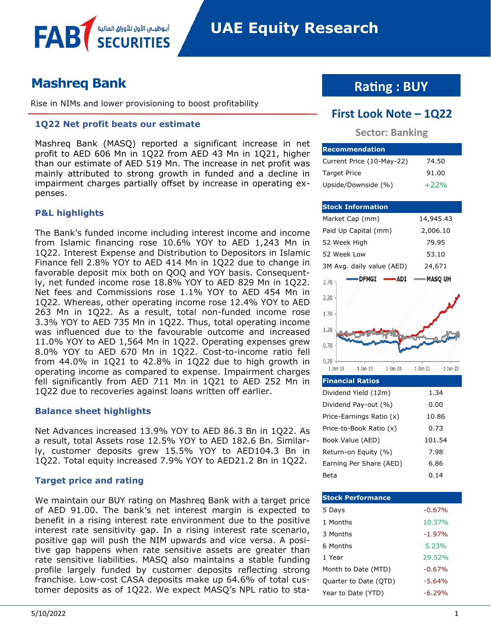

# **Mashreq Bank**

FAB

Rise in NIMs and lower provisioning to boost profitability

أبوظبــم الأول للأوراق المالية

### **1Q22 Net profit beats our estimate**

Mashreq Bank (MASQ) reported a significant increase in net profit to AED 606 Mn in 1Q22 from AED 43 Mn in 1Q21, higher than our estimate of AED 519 Mn. The increase in net profit was mainly attributed to strong growth in funded and a decline in impairment charges partially offset by increase in operating expenses.

### **P&L highlights**

The Bank's funded income including interest income and income from Islamic financing rose 10.6% YOY to AED 1,243 Mn in 1Q22. Interest Expense and Distribution to Depositors in Islamic Finance fell 2.8% YOY to AED 414 Mn in 1Q22 due to change in favorable deposit mix both on QOQ and YOY basis. Consequently, net funded income rose 18.8% YOY to AED 829 Mn in 1Q22. Net fees and Commissions rose 1.1% YOY to AED 454 Mn in 1Q22. Whereas, other operating income rose 12.4% YOY to AED 263 Mn in 1Q22. As a result, total non-funded income rose 3.3% YOY to AED 735 Mn in 1Q22. Thus, total operating income was influenced due to the favourable outcome and increased 11.0% YOY to AED 1,564 Mn in 1Q22. Operating expenses grew 8.0% YOY to AED 670 Mn in 1Q22. Cost-to-income ratio fell from 44.0% in 1Q21 to 42.8% in 1Q22 due to high growth in operating income as compared to expense. Impairment charges fell significantly from AED 711 Mn in 1Q21 to AED 252 Mn in 1Q22 due to recoveries against loans written off earlier.

### **Balance sheet highlights**

Net Advances increased 13.9% YOY to AED 86.3 Bn in 1Q22. As a result, total Assets rose 12.5% YOY to AED 182.6 Bn. Similarly, customer deposits grew 15.5% YOY to AED104.3 Bn in 1Q22. Total equity increased 7.9% YOY to AED21.2 Bn in 1Q22.

### **Target price and rating**

We maintain our BUY rating on Mashreq Bank with a target price of AED 91.00. The bank's net interest margin is expected to benefit in a rising interest rate environment due to the positive interest rate sensitivity gap. In a rising interest rate scenario, positive gap will push the NIM upwards and vice versa. A positive gap happens when rate sensitive assets are greater than rate sensitive liabilities. MASQ also maintains a stable funding profile largely funded by customer deposits reflecting strong franchise. Low-cost CASA deposits make up 64.6% of total customer deposits as of 1Q22. We expect MASQ's NPL ratio to sta-

## **Rating : BUY**

## **First Look Note – 1Q22**

### **Sector: Banking**

| <b>Recommendation</b>     |        |
|---------------------------|--------|
| Current Price (10-May-22) | 74.50  |
| <b>Target Price</b>       | 91.00  |
| Upside/Downside (%)       | $+22%$ |

### **Stock Information** Market Cap (mm) 14,945.43 Paid Up Capital (mm) 2,006.10 52 Week High 79.95 52 Week Low 53.10 3M Avg. daily value (AED) 24,671 **MASQ UH** DFMGI --ADI 2.70 2.20  $1.70$ 1.20  $0.70$  $0.20$  $1$ -Jan- $18$  $1-Jan-19$  $1$ -Jan-20  $1$ -Jan-21  $1-Jan-22$

| <b>Financial Ratios</b>  |        |
|--------------------------|--------|
| Dividend Yield (12m)     | 1.34   |
| Dividend Pay-out (%)     | 0.00   |
| Price-Earnings Ratio (x) | 10.86  |
| Price-to-Book Ratio (x)  | 0.73   |
| Book Value (AED)         | 101.54 |
| Return-on Equity (%)     | 7.98   |
| Earning Per Share (AED)  | 6.86   |
| Beta                     | 0.14   |

| <b>Stock Performance</b> |          |
|--------------------------|----------|
| 5 Days                   | $-0.67%$ |
| 1 Months                 | 10.37%   |
| 3 Months                 | $-1.97%$ |
| 6 Months                 | 5.23%    |
| 1 Year                   | 29.52%   |
| Month to Date (MTD)      | $-0.67%$ |
| Quarter to Date (QTD)    | $-5.64%$ |
| Year to Date (YTD)       | -6.29%   |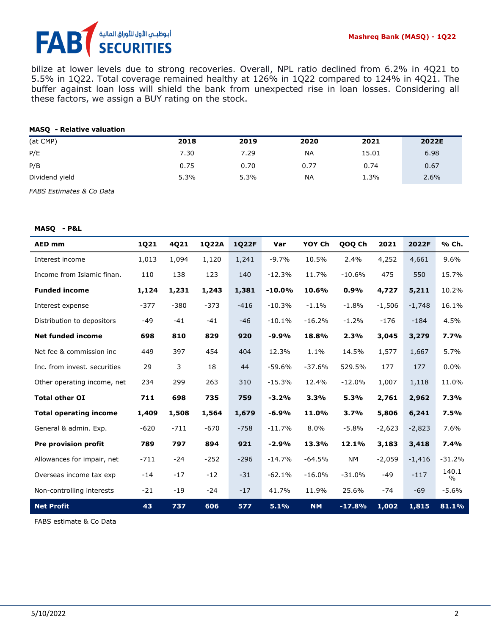# أبوظبـي الأول للأوراق المالية<br>SECURITIES FA

bilize at lower levels due to strong recoveries. Overall, NPL ratio declined from 6.2% in 4Q21 to 5.5% in 1Q22. Total coverage remained healthy at 126% in 1Q22 compared to 124% in 4Q21. The buffer against loan loss will shield the bank from unexpected rise in loan losses. Considering all these factors, we assign a BUY rating on the stock.

### **MASQ - Relative valuation**

| (at CMP)       | 2018 | 2019 | 2020      | 2021  | 2022E |
|----------------|------|------|-----------|-------|-------|
| P/E            | 7.30 | 7.29 | <b>NA</b> | 15.01 | 6.98  |
| P/B            | 0.75 | 0.70 | 0.77      | 0.74  | 0.67  |
| Dividend yield | 5.3% | 5.3% | <b>NA</b> | 1.3%  | 2.6%  |

*FABS Estimates & Co Data*

#### **MASQ - P&L**

| <b>AED mm</b>                 | 1Q21   | 4Q21   | 1Q22A  | 1Q22F  | Var      | YOY Ch    | QOQ Ch    | 2021     | 2022F    | % Ch.         |
|-------------------------------|--------|--------|--------|--------|----------|-----------|-----------|----------|----------|---------------|
| Interest income               | 1,013  | 1,094  | 1,120  | 1,241  | $-9.7%$  | 10.5%     | 2.4%      | 4,252    | 4,661    | 9.6%          |
| Income from Islamic finan.    | 110    | 138    | 123    | 140    | $-12.3%$ | 11.7%     | $-10.6%$  | 475      | 550      | 15.7%         |
| <b>Funded income</b>          | 1,124  | 1,231  | 1,243  | 1,381  | $-10.0%$ | 10.6%     | 0.9%      | 4,727    | 5,211    | 10.2%         |
| Interest expense              | $-377$ | $-380$ | $-373$ | $-416$ | $-10.3%$ | $-1.1%$   | $-1.8%$   | $-1,506$ | $-1,748$ | 16.1%         |
| Distribution to depositors    | $-49$  | $-41$  | $-41$  | $-46$  | $-10.1%$ | $-16.2%$  | $-1.2%$   | $-176$   | $-184$   | 4.5%          |
| <b>Net funded income</b>      | 698    | 810    | 829    | 920    | $-9.9%$  | 18.8%     | 2.3%      | 3,045    | 3,279    | 7.7%          |
| Net fee & commission inc      | 449    | 397    | 454    | 404    | 12.3%    | 1.1%      | 14.5%     | 1,577    | 1,667    | 5.7%          |
| Inc. from invest, securities  | 29     | 3      | 18     | 44     | $-59.6%$ | $-37.6%$  | 529.5%    | 177      | 177      | 0.0%          |
| Other operating income, net   | 234    | 299    | 263    | 310    | $-15.3%$ | 12.4%     | $-12.0%$  | 1,007    | 1,118    | 11.0%         |
| <b>Total other OI</b>         | 711    | 698    | 735    | 759    | $-3.2%$  | 3.3%      | 5.3%      | 2,761    | 2,962    | 7.3%          |
| <b>Total operating income</b> | 1,409  | 1,508  | 1,564  | 1,679  | $-6.9%$  | 11.0%     | 3.7%      | 5,806    | 6,241    | 7.5%          |
| General & admin. Exp.         | $-620$ | $-711$ | $-670$ | $-758$ | $-11.7%$ | 8.0%      | $-5.8%$   | $-2,623$ | $-2,823$ | 7.6%          |
| Pre provision profit          | 789    | 797    | 894    | 921    | $-2.9%$  | 13.3%     | 12.1%     | 3,183    | 3,418    | 7.4%          |
| Allowances for impair, net    | $-711$ | $-24$  | $-252$ | $-296$ | $-14.7%$ | $-64.5%$  | <b>NM</b> | $-2,059$ | $-1,416$ | $-31.2%$      |
| Overseas income tax exp       | $-14$  | $-17$  | $-12$  | $-31$  | $-62.1%$ | $-16.0%$  | $-31.0%$  | -49      | $-117$   | 140.1<br>$\%$ |
| Non-controlling interests     | $-21$  | $-19$  | $-24$  | $-17$  | 41.7%    | 11.9%     | 25.6%     | $-74$    | $-69$    | -5.6%         |
| <b>Net Profit</b>             | 43     | 737    | 606    | 577    | 5.1%     | <b>NM</b> | $-17.8%$  | 1,002    | 1,815    | 81.1%         |

FABS estimate & Co Data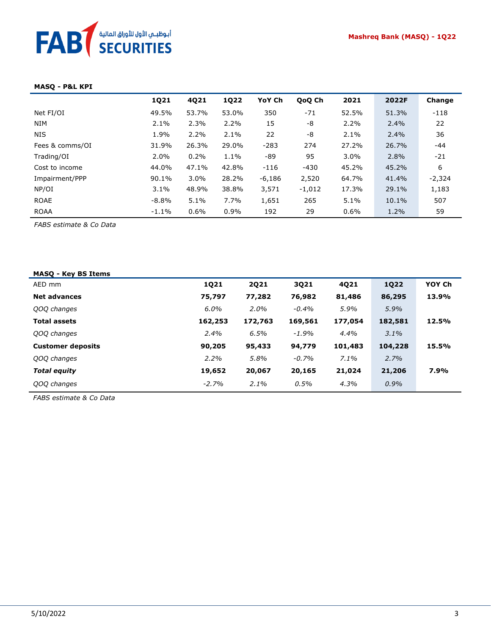### **MASQ - P&L KPI**

|                 | 1Q21    | 4Q21    | 1Q22  | YoY Ch   | QoQ Ch   | 2021    | 2022F | Change   |
|-----------------|---------|---------|-------|----------|----------|---------|-------|----------|
| Net FI/OI       | 49.5%   | 53.7%   | 53.0% | 350      | $-71$    | 52.5%   | 51.3% | $-118$   |
| <b>NIM</b>      | 2.1%    | 2.3%    | 2.2%  | 15       | -8       | 2.2%    | 2.4%  | 22       |
| <b>NIS</b>      | 1.9%    | 2.2%    | 2.1%  | 22       | -8       | $2.1\%$ | 2.4%  | 36       |
| Fees & comms/OI | 31.9%   | 26.3%   | 29.0% | $-283$   | 274      | 27.2%   | 26.7% | $-44$    |
| Trading/OI      | 2.0%    | 0.2%    | 1.1%  | -89      | 95       | $3.0\%$ | 2.8%  | $-21$    |
| Cost to income  | 44.0%   | 47.1%   | 42.8% | $-116$   | $-430$   | 45.2%   | 45.2% | 6        |
| Impairment/PPP  | 90.1%   | $3.0\%$ | 28.2% | $-6,186$ | 2,520    | 64.7%   | 41.4% | $-2,324$ |
| NP/OI           | 3.1%    | 48.9%   | 38.8% | 3,571    | $-1,012$ | 17.3%   | 29.1% | 1,183    |
| <b>ROAE</b>     | $-8.8%$ | 5.1%    | 7.7%  | 1,651    | 265      | 5.1%    | 10.1% | 507      |
| <b>ROAA</b>     | $-1.1%$ | 0.6%    | 0.9%  | 192      | 29       | 0.6%    | 1.2%  | 59       |

*FABS estimate & Co Data*

| <b>MASQ - Key BS Items</b> |             |             |          |         |             |        |
|----------------------------|-------------|-------------|----------|---------|-------------|--------|
| AED mm                     | <b>1Q21</b> | <b>2Q21</b> | 3Q21     | 4Q21    | <b>1Q22</b> | YOY Ch |
| <b>Net advances</b>        | 75,797      | 77,282      | 76,982   | 81,486  | 86,295      | 13.9%  |
| QOQ changes                | $6.0\%$     | $2.0\%$     | $-0.4\%$ | 5.9%    | 5.9%        |        |
| <b>Total assets</b>        | 162,253     | 172,763     | 169,561  | 177,054 | 182,581     | 12.5%  |
| QOQ changes                | $2.4\%$     | 6.5%        | $-1.9%$  | 4.4%    | 3.1%        |        |
| <b>Customer deposits</b>   | 90,205      | 95,433      | 94,779   | 101,483 | 104,228     | 15.5%  |
| QOQ changes                | 2.2%        | 5.8%        | $-0.7%$  | $7.1\%$ | 2.7%        |        |
| <b>Total equity</b>        | 19,652      | 20,067      | 20,165   | 21,024  | 21,206      | 7.9%   |
| QOQ changes                | $-2.7%$     | 2.1%        | 0.5%     | 4.3%    | $0.9\%$     |        |
|                            |             |             |          |         |             |        |

*FABS estimate & Co Data*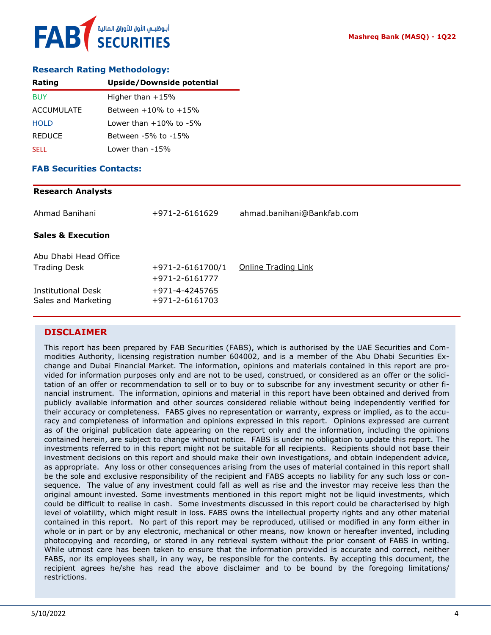### **Research Rating Methodology:**

| Rating            | <b>Upside/Downside potential</b> |
|-------------------|----------------------------------|
| <b>BUY</b>        | Higher than $+15%$               |
| <b>ACCUMULATE</b> | Between $+10\%$ to $+15\%$       |
| <b>HOLD</b>       | Lower than $+10\%$ to $-5\%$     |
| <b>REDUCE</b>     | Between -5% to -15%              |
| <b>SELL</b>       | Lower than -15%                  |

### **FAB Securities Contacts:**

# **Research Analysts** Ahmad Banihani +971-2-6161629 [ahmad.banihani@Bankfab.com](mailto:ahmad.banihani@Bankfab.com) **Sales & Execution** Abu Dhabi Head Office Trading Desk  $+971-2-6161700/1$  [Online Trading Link](http://www.nbad.com/countries/en-ae/Brokerage/WhatWeOffer/Pages/OnlineTrading.aspx) +971-2-6161777 Institutional Desk +971-4-4245765 Sales and Marketing +971-2-6161703

### **DISCLAIMER**

This report has been prepared by FAB Securities (FABS), which is authorised by the UAE Securities and Commodities Authority, licensing registration number 604002, and is a member of the Abu Dhabi Securities Exchange and Dubai Financial Market. The information, opinions and materials contained in this report are provided for information purposes only and are not to be used, construed, or considered as an offer or the solicitation of an offer or recommendation to sell or to buy or to subscribe for any investment security or other financial instrument. The information, opinions and material in this report have been obtained and derived from publicly available information and other sources considered reliable without being independently verified for their accuracy or completeness. FABS gives no representation or warranty, express or implied, as to the accuracy and completeness of information and opinions expressed in this report. Opinions expressed are current as of the original publication date appearing on the report only and the information, including the opinions contained herein, are subject to change without notice. FABS is under no obligation to update this report. The investments referred to in this report might not be suitable for all recipients. Recipients should not base their investment decisions on this report and should make their own investigations, and obtain independent advice, as appropriate. Any loss or other consequences arising from the uses of material contained in this report shall be the sole and exclusive responsibility of the recipient and FABS accepts no liability for any such loss or consequence. The value of any investment could fall as well as rise and the investor may receive less than the original amount invested. Some investments mentioned in this report might not be liquid investments, which could be difficult to realise in cash. Some investments discussed in this report could be characterised by high level of volatility, which might result in loss. FABS owns the intellectual property rights and any other material contained in this report. No part of this report may be reproduced, utilised or modified in any form either in whole or in part or by any electronic, mechanical or other means, now known or hereafter invented, including photocopying and recording, or stored in any retrieval system without the prior consent of FABS in writing. While utmost care has been taken to ensure that the information provided is accurate and correct, neither FABS, nor its employees shall, in any way, be responsible for the contents. By accepting this document, the recipient agrees he/she has read the above disclaimer and to be bound by the foregoing limitations/ restrictions.